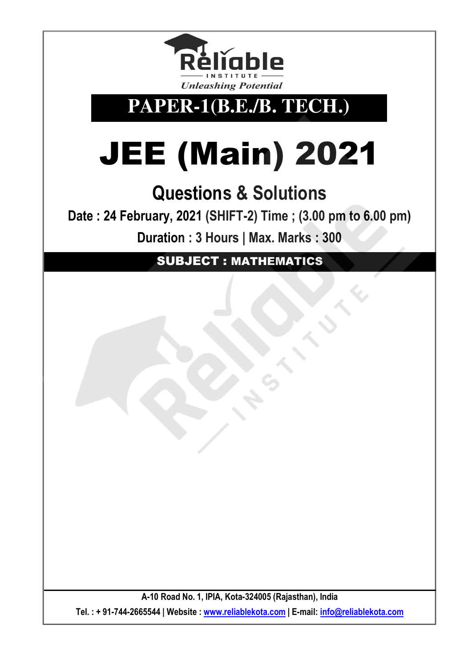

**PAPER-1(B.E./B. TECH.)** 

# JEE (Main) 2021

# **Questions & Solutions**

**Date : 24 February, 2021 (SHIFT-2) Time ; (3.00 pm to 6.00 pm) Duration : 3 Hours | Max. Marks : 300** 

SUBJECT : MATHEMATICS

**A-10 Road No. 1, IPIA, Kota-324005 (Rajasthan), India Tel. : + 91-744-2665544 | Website : www.reliablekota.com | E-mail: info@reliablekota.com**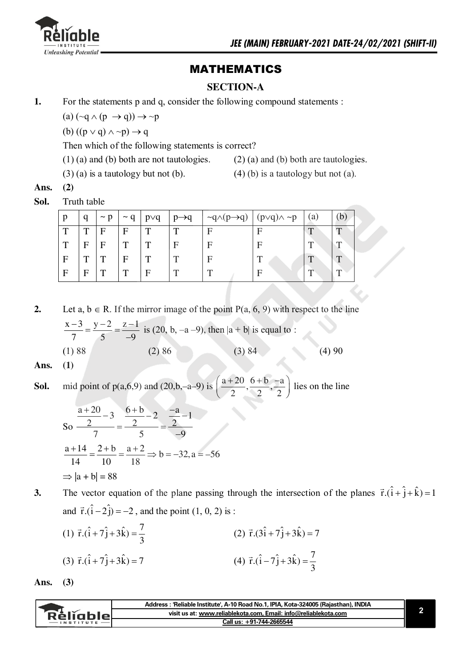

## **MATHEMATICS**

#### **SECTION-A**

 $1.$ For the statements p and q, consider the following compound statements :

(a)  $(\sim q \land (p \rightarrow q)) \rightarrow \sim p$ 

(b)  $((p \vee q) \wedge \neg p) \rightarrow q$ 

Then which of the following statements is correct?

 $(1)$  (a) and (b) both are not tautologies.

- 
- $(2)$  (a) and (b) both are tautologies.
- $(3)$  (a) is a tautology but not (b).
- $(4)$  (b) is a tautology but not (a).

Ans.  $(2)$ 

Sol. Truth table

|             | a | $\sim$ n | $\sim$ 0 | $p\vee q$ | $p \rightarrow q$ | $\neg q \land (p \rightarrow q)$ | $(p \lor q) \land \neg p$ | (a) |   |
|-------------|---|----------|----------|-----------|-------------------|----------------------------------|---------------------------|-----|---|
| T           | т | F        | E        |           |                   |                                  | н                         |     |   |
| $\mathbf T$ | E | F        | m        |           | F                 |                                  | F                         | m   |   |
| F           | m | т        | E        | m         | m                 |                                  |                           | m   | m |
| F           | E | m        | m        | F         |                   |                                  |                           |     |   |

 $2.$ Let  $a, b \in R$ . If the mirror image of the point  $P(a, 6, 9)$  with respect to the line  $\frac{x-3}{7} = \frac{y-2}{5} = \frac{z-1}{-9}$  is (20, b, -a -9), then  $|a + b|$  is equal to :  $(3) 84$  $(2) 86$  $(4)90$  $(1) 88$ 

Ans.  $(1)$ 

**Sol.** mid point of p(a,6,9) and (20,b,-a-9) is 
$$
\left(\frac{a+20}{2}, \frac{6+b}{2}, \frac{-a}{2}\right)
$$
 lies on the line

$$
80 \frac{\frac{a+20}{2}-3}{7} = \frac{\frac{6+b}{2}-2}{5} = \frac{\frac{-a}{2}-1}{-9}
$$
  

$$
\frac{a+14}{14} = \frac{2+b}{10} = \frac{a+2}{18} \Rightarrow b = -32, a = -56
$$
  

$$
\Rightarrow |a+b| = 88
$$

The vector equation of the plane passing through the intersection of the planes  $\vec{r} \cdot (\hat{i} + \hat{j} + \hat{k}) = 1$  $3.$ and  $\vec{r} \cdot (\hat{i} - 2\hat{j}) = -2$ , and the point (1, 0, 2) is :

(1) 
$$
\vec{r} \cdot (\hat{i} + 7\hat{j} + 3\hat{k}) = \frac{7}{3}
$$
  
\n(2)  $\vec{r} \cdot (3\hat{i} + 7\hat{j} + 3\hat{k}) = 7$   
\n(3)  $\vec{r} \cdot (\hat{i} + 7\hat{j} + 3\hat{k}) = 7$   
\n(4)  $\vec{r} \cdot (\hat{i} - 7\hat{j} + 3\hat{k}) = \frac{7}{3}$ 

 $(3)$ Ans.

|           | Address: 'Reliable Institute', A-10 Road No.1, IPIA, Kota-324005 (Rajasthan), INDIA |  |
|-----------|-------------------------------------------------------------------------------------|--|
| Rèliablel | visit us at: www.reliablekota.com, Email: info@reliablekota.com                     |  |
|           | Call us: +91-744-2665544                                                            |  |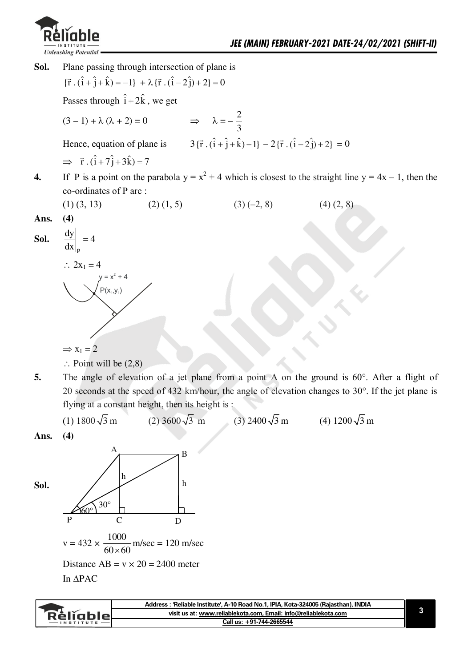

**Sol.** Plane passing through intersection of plane is  $\{\vec{r} \cdot (\hat{i} + \hat{j} + \hat{k}) = -1\} + \lambda \{\vec{r} \cdot (\hat{i} - 2\hat{j}) + 2\} = 0$ Passes through  $\hat{i} + 2\hat{k}$ , we get  $(3-1) + \lambda (\lambda + 2) = 0$  $\overline{\mathbf{c}}$ 3 Hence, equation of plane is  $3\{\vec{r} \cdot (\hat{i} + \hat{j} + \hat{k}) - 1\} - 2\{\vec{r} \cdot (\hat{i} - 2\hat{j}) + 2\} = 0$  $\implies$   $\vec{r} \cdot (\hat{i} + 7\hat{j} + 3\hat{k}) = 7$ **4.** If P is a point on the parabola  $y = x^2 + 4$  which is closest to the straight line  $y = 4x - 1$ , then the co-ordinates of P are : (1) (3, 13) (2) (1, 5) (3) (-2, 8) (4) (2, 8) **Ans. (4)**  Sol.  $\frac{dy}{dx}$  = n  $\frac{dy}{dx} = 4$  $\mathrm{d}x$  $\therefore$  2x<sub>1</sub> = 4  $y = x^2 + 4$  $P(x_1, y_1)$  $\Rightarrow$  x<sub>1</sub> = 2  $\therefore$  Point will be  $(2,8)$ 

**5.** The angle of elevation of a jet plane from a point A on the ground is 60°. After a flight of 20 seconds at the speed of 432 km/hour, the angle of elevation changes to 30°. If the jet plane is flying at a constant height, then its height is :



**Ans. (4)** 



| visit us at: www.reliablekota.com, Email: info@reliablekota.com<br>RéliableL<br>Call us: +91-744-2665544<br>$-$ INSTITUTE | Address: 'Reliable Institute', A-10 Road No.1, IPIA, Kota-324005 (Rajasthan), INDIA |  |
|---------------------------------------------------------------------------------------------------------------------------|-------------------------------------------------------------------------------------|--|
|                                                                                                                           |                                                                                     |  |
|                                                                                                                           |                                                                                     |  |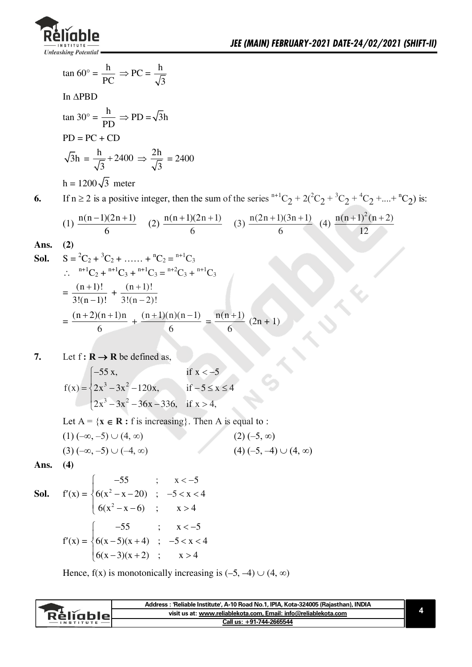

is:

$$
\tan 60^\circ = \frac{h}{PC} \Rightarrow PC = \frac{h}{\sqrt{3}}
$$
  
In  $\triangle PBD$   
\n
$$
\tan 30^\circ = \frac{h}{PD} \Rightarrow PD = \sqrt{3}h
$$
  
\n
$$
PD = PC + CD
$$
  
\n
$$
\sqrt{3}h = \frac{h}{\sqrt{3}} + 2400 \Rightarrow \frac{2h}{\sqrt{3}} = 2400
$$
  
\n
$$
h = 1200\sqrt{3} \text{ meter}
$$
  
\n6. If  $n \ge 2$  is a positive integer, then the sum of the series <sup>n+1</sup>C<sub>2</sub> + 2(<sup>2</sup>C<sub>2</sub> + <sup>3</sup>C<sub>2</sub> + <sup>4</sup>C<sub>2</sub> +....+<sup>n</sup>C<sub>2</sub>)  
\n(1)  $\frac{n(n-1)(2n+1)}{6}$  (2)  $\frac{n(n+1)(2n+1)}{6}$  (3)  $\frac{n(2n+1)(3n+1)}{6}$  (4)  $\frac{n(n+1)^2(n+2)}{12}$   
\n**Ans.** (2)  
\n**Sol.**  $S = {}^{2}C_{2} + {}^{3}C_{2} + ...... + {}^{n}C_{2} = {}^{n+1}C_{3}$   
\n $\therefore {}^{n+1}C_{2} + {}^{n+1}C_{3} + {}^{n+1}C_{3} = {}^{n+2}C_{3} + {}^{n+1}C_{3}$   
\n $= \frac{(n+1)!}{3!(n-1)!} + \frac{(n+1)!}{3!(n-2)!}$   
\n $= \frac{(n+2)(n+1)n}{6} + \frac{(n+1)(n)(n-1)}{6} = \frac{n(n+1)}{6} (2n+1)$ 

7. Let 
$$
f: \mathbb{R} \to \mathbb{R}
$$
 be defined as,

$$
f(x) = \begin{cases}\n-55 x, & \text{if } x < -5 \\
2x^3 - 3x^2 - 120x, & \text{if } -5 \le x \le 4 \\
2x^3 - 3x^2 - 36x - 336, & \text{if } x > 4\n\end{cases}
$$

Let  $A = \{x \in \mathbb{R} : f \text{ is increasing}\}\$ . Then A is equal to :  $(1)(-\infty, -5) \cup (4, \infty)$  $(2)(-5, \infty)$ 

$$
(3) (-\infty, -5) \cup (-4, \infty) \tag{4) (-5, -4) \cup (4, \infty)
$$

Ans.  $(4)$ 

**Sol.** 
$$
f'(x) = \begin{cases} -55 & ; & x < -5 \\ 6(x^2 - x - 20) & ; & -5 < x < 4 \\ 6(x^2 - x - 6) & ; & x > 4 \end{cases}
$$
  
 $f'(x) = \begin{cases} -55 & ; & x < -5 \\ 6(x - 5)(x + 4) & ; & -5 < x < 4 \\ 6(x - 3)(x + 2) & ; & x > 4 \end{cases}$ 

Hence,  $f(x)$  is monotonically increasing is  $(-5, -4) \cup (4, \infty)$ 

|           | Address : 'Reliable Institute', A-10 Road No.1, IPIA, Kota-324005 (Rajasthan), INDIA |  |
|-----------|--------------------------------------------------------------------------------------|--|
| Réligblet | visit us at: www.reliablekota.com, Email: info@reliablekota.com                      |  |
|           | Call us: +91-744-2665544                                                             |  |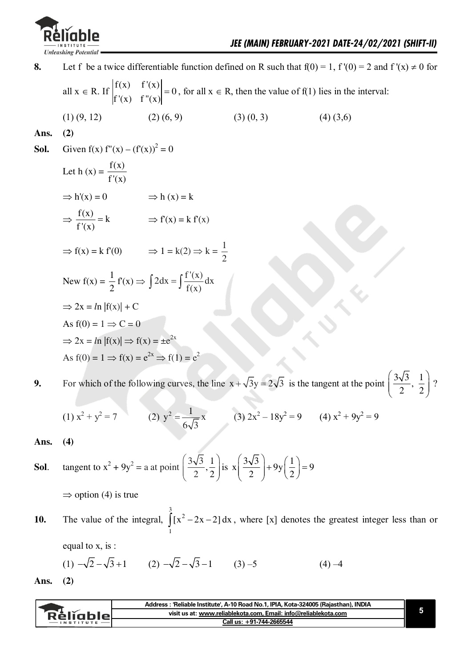

Let f be a twice differentiable function defined on R such that  $f(0) = 1$ ,  $f'(0) = 2$  and  $f'(x) \ne 0$  for 8. all  $x \in R$ . If  $\begin{vmatrix} f(x) & f'(x) \\ f'(x) & f''(x) \end{vmatrix} = 0$ , for all  $x \in R$ , then the value of f(1) lies in the interval:  $(1)$   $(9, 12)$  $(2)$   $(6, 9)$  $(4)(3,6)$  $(3)(0, 3)$ Ans.  $(2)$ Given  $f(x) f''(x) - (f'(x))^2 = 0$ Sol. Let h (x) =  $\frac{f(x)}{f'(x)}$  $\Rightarrow$  h'(x) = 0  $\Rightarrow$  h (x) = k  $\Rightarrow$   $\frac{f(x)}{f'(x)} = k$   $\Rightarrow$   $f'(x) = k f'(x)$  $\Rightarrow$  f(x) = k f'(0)  $\Rightarrow$  1 = k(2)  $\Rightarrow$  k =  $\frac{1}{2}$ New  $f(x) = \frac{1}{2} f'(x) \Rightarrow \int 2 dx = \int \frac{f'(x)}{f(x)} dx$  $\Rightarrow$  2x = ln |f(x)| + C As  $f(0) = 1 \Rightarrow C = 0$  $\Rightarrow$  2x = ln |f(x)|  $\Rightarrow$  f(x) =  $\pm e^{2x}$ As  $f(0) = 1 \implies f(x) = e^{2x} \implies f(1) = e^{2x}$ 

For which of the following curves, the line  $x + \sqrt{3}y = 2\sqrt{3}$  is the tangent at the point  $\left(\frac{3\sqrt{3}}{2}, \frac{1}{2}\right)$ ? 9.

(1) 
$$
x^2 + y^2 = 7
$$
 (2)  $y^2 = \frac{1}{6\sqrt{3}}x$  (3)  $2x^2 - 18y^2 = 9$  (4)  $x^2 + 9y^2 = 9$ 

Ans.  $(4)$ 

**Sol.** tangent to 
$$
x^2 + 9y^2 = a
$$
 at point  $\left(\frac{3\sqrt{3}}{2}, \frac{1}{2}\right)$  is  $x\left(\frac{3\sqrt{3}}{2}\right) + 9y\left(\frac{1}{2}\right) = 9$ 

 $\Rightarrow$  option (4) is true

The value of the integral,  $\int_{0}^{3} [x^2 - 2x - 2] dx$ , where [x] denotes the greatest integer less than or 10.

equal to x, is:

(1) 
$$
-\sqrt{2} - \sqrt{3} + 1
$$
 (2)  $-\sqrt{2} - \sqrt{3} - 1$  (3) -5 (4) -4

Ans.  $(2)$ 

|                  | Address : 'Reliable Institute', A-10 Road No.1, IPIA, Kota-324005 (Raiasthan), INDIA |  |
|------------------|--------------------------------------------------------------------------------------|--|
| Religblet        | visit us at: www.reliablekota.com, Email: info@reliablekota.com                      |  |
| <b>INSTITUTE</b> | Call us: +91-744-2665544                                                             |  |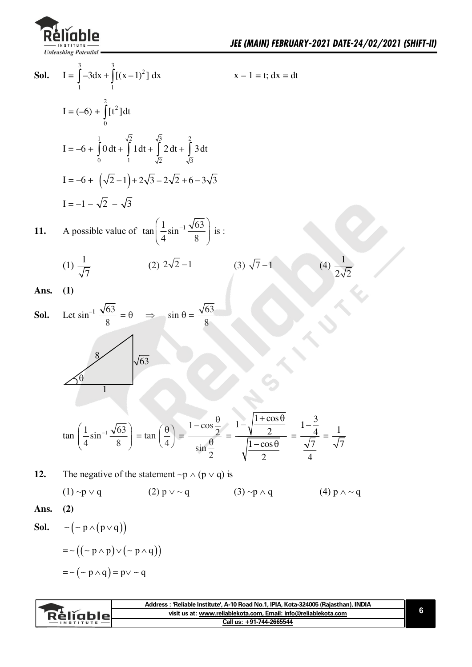

| Sol. | $I = \int_{0}^{3} -3dx + \int_{0}^{3} [(x-1)^{2}] dx$                                                                                                                                                                                                                              | $x - 1 = t$ ; $dx = dt$ |                           |
|------|------------------------------------------------------------------------------------------------------------------------------------------------------------------------------------------------------------------------------------------------------------------------------------|-------------------------|---------------------------|
|      | $I = (-6) + \int_{0}^{2} [t^2] dt$                                                                                                                                                                                                                                                 |                         |                           |
|      | I = -6 + $\int_{0}^{1} 0 dt + \int_{1}^{\sqrt{2}} 1 dt + \int_{\sqrt{2}}^{\sqrt{3}} 2 dt + \int_{\sqrt{2}}^{2} 3 dt$                                                                                                                                                               |                         |                           |
|      | $I = -6 + (\sqrt{2} - 1) + 2\sqrt{3} - 2\sqrt{2} + 6 - 3\sqrt{3}$                                                                                                                                                                                                                  |                         |                           |
|      | $I = -1 - \sqrt{2} - \sqrt{3}$                                                                                                                                                                                                                                                     |                         |                           |
| 11.  | A possible value of $\tan\left(\frac{1}{4}\sin^{-1}\frac{\sqrt{63}}{8}\right)$ is :                                                                                                                                                                                                |                         |                           |
|      | (2) $2\sqrt{2}-1$<br>$(1)\frac{1}{\sqrt{7}}$                                                                                                                                                                                                                                       | $(3) \sqrt{7}-1$        | (4) $\frac{1}{2\sqrt{2}}$ |
| Ans. | (1)                                                                                                                                                                                                                                                                                |                         |                           |
| Sol. | Let $\sin^{-1} \frac{\sqrt{63}}{8} = \theta \implies \sin \theta = \frac{\sqrt{63}}{8}$                                                                                                                                                                                            |                         |                           |
|      | $\sqrt{63}$<br>1                                                                                                                                                                                                                                                                   |                         |                           |
|      | $\tan\left(\frac{1}{4}\sin^{-1}\frac{\sqrt{63}}{8}\right) = \tan\left(\frac{\theta}{4}\right) = \frac{1-\cos\frac{\theta}{2}}{\sin\frac{\theta}{2}} = \frac{1-\sqrt{\frac{1+\cos\theta}{2}}}{\sqrt{\frac{1-\cos\theta}{2}}} = \frac{1-\frac{3}{4}}{\sqrt{7}} = \frac{1}{\sqrt{7}}$ |                         |                           |
| 12.  | The negative of the statement $\neg p \wedge (p \vee q)$ is                                                                                                                                                                                                                        |                         |                           |
|      | $(1) \sim p \vee q$<br>$(2)$ p $\vee \sim q$                                                                                                                                                                                                                                       | $(3) \sim p \wedge q$   | $(4) p \wedge \sim q$     |
| Ans. | (2)                                                                                                                                                                                                                                                                                |                         |                           |
| Sol. | $\sim$ ( ~ p $\wedge$ ( p $\vee$ q ))                                                                                                                                                                                                                                              |                         |                           |
|      | $= \sim ((\sim p \land p) \lor (\sim p \land q))$                                                                                                                                                                                                                                  |                         |                           |
|      | $=$ $\sim$ $\left(\sim p \land q\right)$ = $p \lor \sim q$                                                                                                                                                                                                                         |                         |                           |

|                  | Address: 'Reliable Institute', A-10 Road No.1, IPIA, Kota-324005 (Rajasthan), INDIA |  |
|------------------|-------------------------------------------------------------------------------------|--|
| <b>Réliable_</b> | visit us at: www.reliablekota.com. Email: info@reliablekota.com                     |  |
| INSTITUTE        | Call us: +91-744-2665544                                                            |  |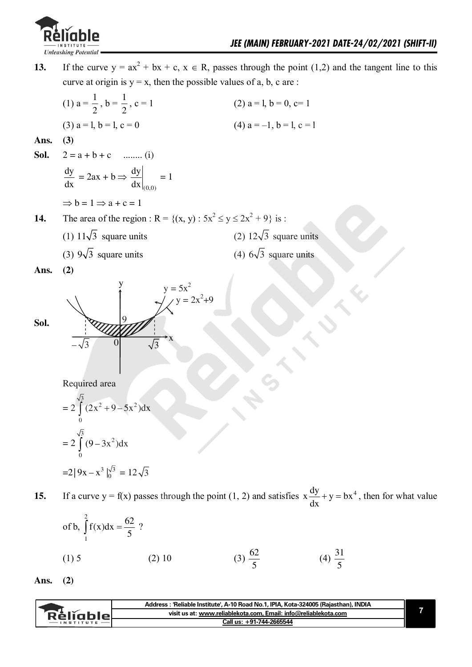

**13.** If the curve  $y = ax^2 + bx + c$ ,  $x \in R$ , passes through the point (1,2) and the tangent line to this curve at origin is  $y = x$ , then the possible values of a, b, c are : (1)  $a = \frac{1}{2}$  $\overline{c}$  $, b = \frac{1}{2}$  $\overline{\mathbf{c}}$ (2)  $a = 1$ ,  $b = 0$ ,  $c = 1$ (3)  $a = 1$ ,  $b = 1$ ,  $c = 0$  (4)  $a = -1$ ,  $b = 1$ ,  $c = 1$ **Ans. (3) Sol.**  $2 = a + b + c$  ...,,(i) dy dx  $= 2ax + b \Rightarrow$  $(0,0)$ dy dx  $=1$  $\Rightarrow$  b = 1  $\Rightarrow$  a + c = 1 **14.** The area of the region :  $R = \{(x, y) : 5x^2 \le y \le 2x^2 + 9\}$  is : (1)  $11\sqrt{3}$  square units (2)  $12\sqrt{3}$  square units (3)  $9\sqrt{3}$  square units (4)  $6\sqrt{3}$  square units **Ans. (2) Sol.**  w  $y=5x^2$  $y = 2x^2 + 9$  $-\sqrt{3}$  0  $\sqrt{3}$ v  $\overline{0}$ 9 Required area  $=2$ 3  $2 \times 0 \leq x^2$  $\int_{0}^{1} (2x^{2} + 9 - 5x^{2}) dx$  $=2$ 3  $\overline{\mathbf{c}}$  $\int_{0}^{1} (9-3x^{2})dx$  $= 2 | 9x - x^3 |_0^{\sqrt{3}} = 12 \sqrt{3}$ **15.** If a curve  $y = f(x)$  passes through the point (1, 2) and satisfies  $x \frac{dy}{dx} + y = bx^4$ dx  $+ y = bx^{4}$ , then for what value of b,  $\int_{0}^{2} f(x) dx = \frac{62}{5}$ /  $\int_{1}^{1} f(x) dx = \frac{02}{5}$  ? (1) 5 (2) 10 (3)  $\frac{62}{5}$ 3  $(4) \frac{31}{4}$ 3

**Ans. (2)** 

|                  | Address: 'Reliable Institute', A-10 Road No.1, IPIA, Kota-324005 (Rajasthan), INDIA |  |
|------------------|-------------------------------------------------------------------------------------|--|
| Rèlighlel        | visit us at: www.reliablekota.com. Email: info@reliablekota.com                     |  |
| <b>INSTITUTE</b> | Call us: +91-744-2665544                                                            |  |
|                  |                                                                                     |  |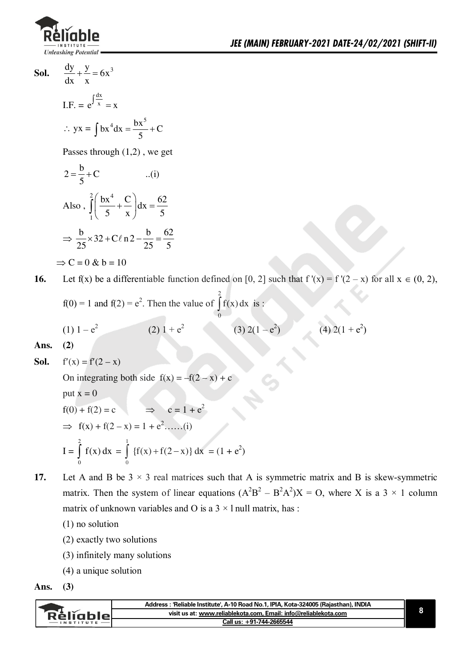

 $\frac{dy}{dx} + \frac{y}{x} = 6x^3$ Sol.

I.F. = 
$$
e^{\int \frac{dx}{x}} = x
$$
  
\n $\therefore$  yx =  $\int bx^4 dx = \frac{bx^5}{5} + C$ 

Passes through  $(1,2)$ , we get

$$
2 = \frac{b}{5} + C \qquad ...(i)
$$
  
Also, 
$$
\int_{1}^{2} \left( \frac{bx^{4}}{5} + \frac{C}{x} \right) dx = \frac{62}{5}
$$

$$
\Rightarrow \frac{b}{25} \times 32 + C\ell \cdot n2 - \frac{b}{25} = \frac{62}{5}
$$

$$
\Rightarrow C = 0 \& b = 10
$$

Let f(x) be a differentiable function defined on [0, 2] such that  $f'(x) = f'(2-x)$  for all  $x \in (0, 2)$ , 16.

f(0) = 1 and f(2) = e<sup>2</sup>. Then the value of 
$$
\int_{0}^{2} f(x) dx
$$
 is:  
\n(1) 1 - e<sup>2</sup> (2) 1 + e<sup>2</sup> (3) 2(1 - e<sup>2</sup>) (4) 2(1 + e<sup>2</sup>)  
\n(2)

Ans.

**Sol.** 
$$
f'(x) = f'(2 - x)
$$

On integrating both side  $f(x) = -f(2 - x) + c$ put  $x = 0$  $\Rightarrow$   $c = 1 + e^2$  $f(0) + f(2) = c$  $\implies$  f(x) + f(2 - x) = 1 + e<sup>2</sup>......(i) I =  $\int_{0}^{2} f(x) dx = \int_{0}^{1} {f(x) + f(2-x)} dx = (1 + e^{2})$ 

- Let A and B be  $3 \times 3$  real matrices such that A is symmetric matrix and B is skew-symmetric 17. matrix. Then the system of linear equations  $(A^{2}B^{2} - B^{2}A^{2})X = O$ , where X is a 3 × 1 column matrix of unknown variables and O is a  $3 \times 1$  null matrix, has:
	- $(1)$  no solution
	- (2) exactly two solutions
	- (3) infinitely many solutions
	- $(4)$  a unique solution

Ans.  $(3)$ 

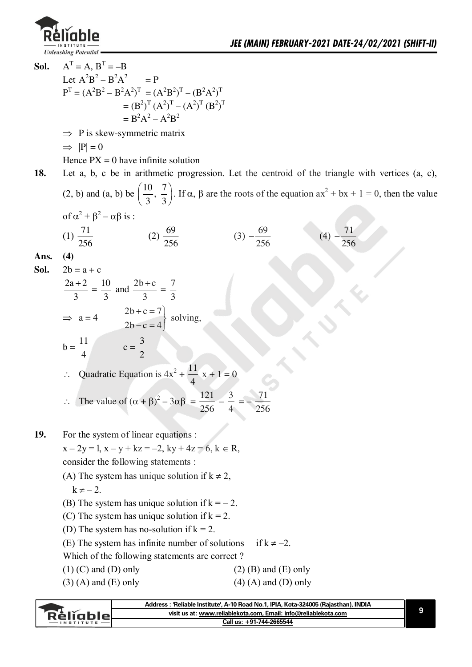

**Sol.**  $=$  A, B<sup>T</sup> = -B Let  $A^2B^2 - B^2A^2$  $= P$  $P^{T} = (A^{2}B^{2} - B^{2}A^{2})^{T} = (A^{2}B^{2})^{T} - (B^{2}A^{2})^{T}$  $=(B^2)^T(A^2)^T-(A^2)^T(B^2)^T$  $= B^2A^2 - A^2B^2$  $\Rightarrow$  P is skew-symmetric matrix  $\Rightarrow$   $|P| = 0$ Hence  $PX = 0$  have infinite solution **18.** Let a, b, c be in arithmetic progression. Let the centroid of the triangle with vertices (a, c), (2, b) and (a, b) be  $\left(\frac{10}{2}, \frac{7}{5}\right)$  $\left(\frac{10}{3}, \frac{7}{3}\right)$ . If  $\alpha$ ,  $\beta$  are the roots of the equation  $ax^2 + bx + 1 = 0$ , then the value of  $\alpha^2 + \beta^2 - \alpha\beta$  is :  $(1) \frac{71}{2}$ 256  $(2) \frac{69}{17}$ 256  $(3) - \frac{69}{17}$ 256  $-\frac{69}{256}$  (4)  $-\frac{71}{25}$ 256 - **Ans. (4) Sol.**  $2b = a + c$  $2a + 2$ 3  $=\frac{10}{1}$ 3 and  $\frac{2b + c}{2}$ 3  $=\frac{7}{2}$ 3  $\Rightarrow$  a = 4  $2b+c=7$  $-c=4$  $2b + c = 7$  $2b - c = 4$ solving,  $b = \frac{11}{4}$  $\overline{\mathcal{L}}$  $c = \frac{3}{2}$  $\overline{c}$  $\therefore$  Quadratic Equation is  $4x^2 + \frac{11}{4}$  $\overline{\mathcal{L}}$  $x + 1 = 0$  $\therefore$  The value of  $(\alpha + \beta)^2 - 3\alpha\beta = \frac{121}{256}$ 256  $-\frac{3}{4}$  $\overline{\mathcal{L}}$  $\equiv -$ 71 256 **19.** For the system of linear equations :  $x - 2y = 1$ ,  $x - y + kz = -2$ ,  $ky + 4z = 6$ ,  $k \in R$ , consider the following statements : (A) The system has unique solution if  $k \neq 2$ ,  $k \neq -2$ . (B) The system has unique solution if  $k = -2$ . (C) The system has unique solution if  $k = 2$ . (D) The system has no-solution if  $k = 2$ . (E) The system has infinite number of solutions if  $k \neq -2$ . Which of the following statements are correct ? (1) (C) and (D) only (2) (B) and (E) only (3) (A) and (E) only (4) (A) and (D) only

|           | : 'Reliable Institute'. A-10 Road No.1. IPIA. Kota-324005 (Raiasthan). INDIA<br>Address · |  |
|-----------|-------------------------------------------------------------------------------------------|--|
| Réligblel | visit us at: www.reliablekota.com, Email: info@reliablekota.com                           |  |
|           | Call us: +91-744-2665544                                                                  |  |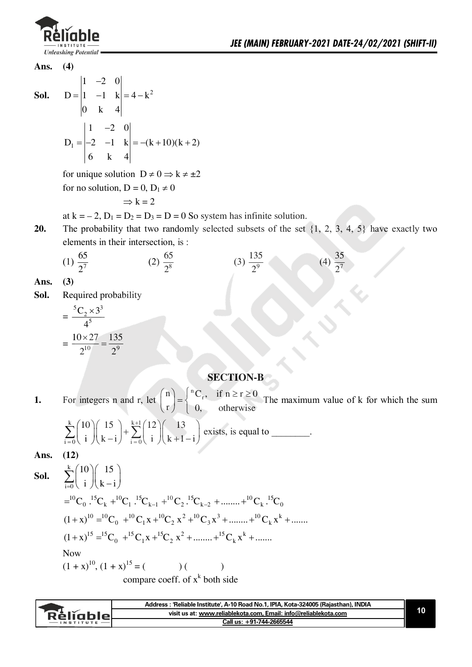

**Ans. (4)** 

**Sol.**

-  $= |1 -1 k| = 4 - k^2$  $1 -2 0$  $D = |1 -1 k| = 4 - k$ 0 k 4

$$
D_1 = \begin{vmatrix} 1 & -2 & 0 \\ -2 & -1 & k \\ 6 & k & 4 \end{vmatrix} = -(k+10)(k+2)
$$

for unique solution  $D \neq 0 \Rightarrow k \neq \pm 2$ for no solution,  $D = 0$ ,  $D_1 \neq 0$ 

$$
\Rightarrow k = 2
$$

at  $k = -2$ ,  $D_1 = D_2 = D_3 = D = 0$  So system has infinite solution.

**20.** The probability that two randomly selected subsets of the set  $\{1, 2, 3, 4, 5\}$  have exactly two elements in their intersection, is :

(1) 
$$
\frac{65}{2^7}
$$
 (2)  $\frac{65}{2^8}$  (3)  $\frac{135}{2^9}$  (4)  $\frac{35}{2^7}$ 

**Ans. (3)** 

**Sol.** Required probability

$$
=\frac{{}^{5}C_{2}\times3^{3}}{4^{5}}
$$

$$
=\frac{10\times27}{2^{10}}=\frac{135}{2^{9}}
$$

### **SECTION-B**

**1.** For integers n and r, let l p  $\binom{n}{r} = \begin{cases} ^nC_r, & \text{if } n \geq r \geq 0 \\ 0 & \text{if } n \geq r \end{cases}$ otherwise  $(r)$  [ The maximum value of k for which the sum

$$
\sum_{i=0}^{k} {10 \choose i} {15 \choose k-i} + \sum_{i=0}^{k+1} {12 \choose i} {13 \choose k+1-i}
$$
 exists, is equal to \_\_\_\_\_\_\_.

**Ans. (12)** 

**Sol.** 
$$
\sum_{i=0}^{k} {10 \choose i} {15 \choose k-i}
$$
  
\n
$$
= {^{10}C_0} {^{15}C_k} + {^{10}C_1} {^{15}C_{k-1}} + {^{10}C_2} {^{15}C_{k-2}} + \dots + {^{10}C_k} {^{15}C_0}
$$
  
\n
$$
(1+x)^{10} = {^{10}C_0} + {^{10}C_1}x + {^{10}C_2}x^2 + {^{10}C_3}x^3 + \dots + {^{10}C_k}x^k + \dots
$$
  
\n
$$
(1+x)^{15} = {^{15}C_0} + {^{15}C_1}x + {^{15}C_2}x^2 + \dots + {^{15}C_k}x^k + \dots
$$
  
\nNow  
\n
$$
(1+x)^{10}, (1+x)^{15} = (x)^{10}, (1+x)^{15} = (x)^{10}
$$
  
\n
$$
15x^2 + 15x^3 + 15x^2 + \dots
$$
  
\nNow  
\n
$$
(1+x)^{10}, (1+x)^{15} = (x)^{10}
$$
  
\n
$$
15x^2 + 15x^2 + \dots
$$
  
\n
$$
15x^2 + 15x^2 + \dots
$$
  
\n
$$
15x^2 + 15x^2 + \dots
$$
  
\n
$$
15x^2 + 15x^2 + \dots
$$
  
\n
$$
15x^2 + 15x^2 + \dots
$$
  
\n
$$
15x^2 + 15x^2 + \dots
$$
  
\n
$$
15x^2 + 15x^2 + \dots
$$
  
\n
$$
15x^2 + 15x^2 + \dots
$$
  
\n
$$
15x^2 + 15x^2 + \dots
$$
  
\n
$$
15x^2 + 15x^2 + \dots
$$
  
\n
$$
15x^2 + 15x^2 + \dots
$$
  
\n
$$
15x^2 + 15x^2 + \dots
$$
  
\n
$$
15x^2 + 15x^2 + \dots
$$
  
\n

**Address : 'Reliable Institute', A-10 Road No.1, IPIA, Kota-324005 (Rajasthan), INDIA 10**  Réliable **visit us at: www.reliablekota.com, Email: info@reliablekota.com Call us: +91-744-2665544**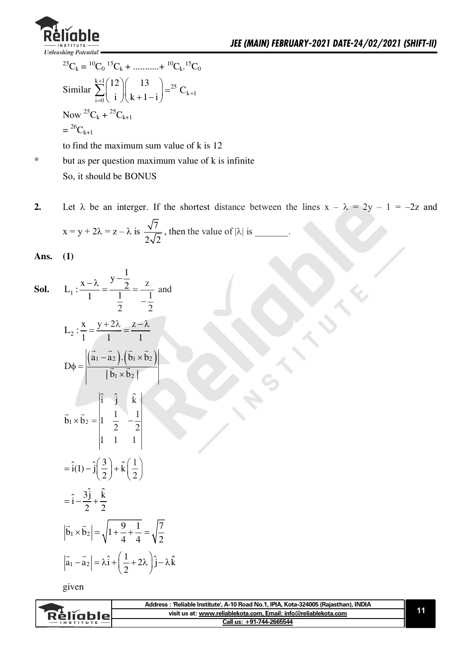

$$
{}^{25}C_k = {}^{10}C_0 {}^{15}C_k + \dots + {}^{10}C_k {}^{15}C_0
$$
  
Similar 
$$
\sum_{i=0}^{k+1} \binom{12}{i} \binom{13}{k+1-i} = {}^{25}C_{k+1}
$$
  
Now  ${}^{25}C_k + {}^{25}C_{k+1}$ 
$$
= {}^{26}C_{k+1}
$$

to find the maximum sum value of  $k$  is 12

 $\ast$ but as per question maximum value of k is infinite So, it should be BONUS

Let  $\lambda$  be an interger. If the shortest distance between the lines  $x - \lambda = 2y - 1 = -2z$  and  $2.$  $x = y + 2\lambda = z - \lambda$  is  $\frac{\sqrt{7}}{2\sqrt{2}}$ , then the value of  $|\lambda|$  is \_\_\_\_\_\_.

Ans.  $(1)$ 

**Sol.** 
$$
L_1: \frac{x - \lambda}{1} = \frac{y - \frac{1}{2}}{\frac{1}{2}} = \frac{z}{-\frac{1}{2}}
$$
 and  
\n $L_2: \frac{x}{1} = \frac{y + 2\lambda}{1} = \frac{z - \lambda}{1}$   
\n $D\phi = \frac{|\vec{a}_1 - \vec{a}_2| \cdot (\vec{b}_1 \times \vec{b}_2)|}{|\vec{b}_1 \times \vec{b}_2|}$   
\n $\vec{b}_1 \times \vec{b}_2 = \frac{|\vec{i}_1 \quad \vec{j}_1 \quad \hat{k}|}{|\vec{i}_1 \quad 1 \quad 1|}$   
\n $= \hat{i}(1) - \hat{j}(\frac{3}{2}) + \hat{k}(\frac{1}{2})$   
\n $= \hat{i} - \frac{3\hat{j}}{2} + \frac{\hat{k}}{2}$   
\n $|\vec{b}_1 \times \vec{b}_2| = \sqrt{1 + \frac{9}{4} + \frac{1}{4}} = \sqrt{\frac{7}{2}}$   
\n $|\vec{a}_1 - \vec{a}_2| = \lambda \hat{i} + (\frac{1}{2} + 2\lambda) \hat{j} - \lambda \hat{k}$ 

given

|               | Address: 'Reliable Institute', A-10 Road No.1, IPIA, Kota-324005 (Rajasthan), INDIA |  |
|---------------|-------------------------------------------------------------------------------------|--|
| `Rěliable∟    | visit us at: www.reliablekota.com, Email: info@reliablekota.com                     |  |
| $-$ INSTITUTE | Call us: +91-744-2665544                                                            |  |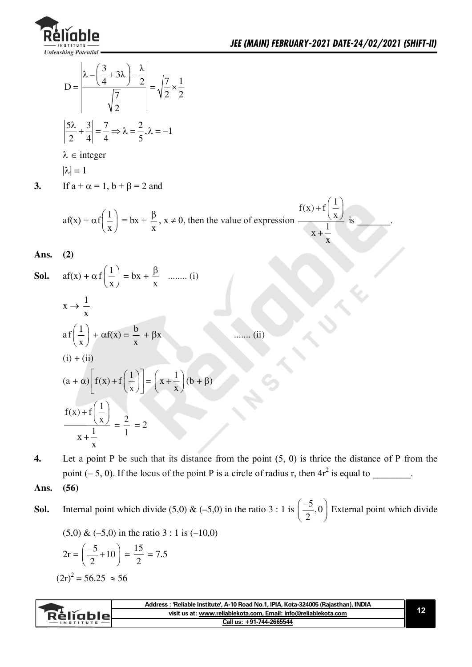

X

$$
D = \frac{\lambda - \left(\frac{3}{4} + 3\lambda\right) - \frac{\lambda}{2}}{\sqrt{\frac{7}{2}}} = \sqrt{\frac{7}{2}} \times \frac{1}{2}
$$

$$
\left|\frac{5\lambda}{2} + \frac{3}{4}\right| = \frac{7}{4} \implies \lambda = \frac{2}{5}, \lambda = -1
$$

$$
\lambda \in \text{integer}
$$

$$
|\lambda|=1
$$

 $3.$ If  $a + \alpha = 1$ ,  $b + \beta = 2$  and

$$
af(x) + \alpha f\left(\frac{1}{x}\right) = bx + \frac{\beta}{x}, x \neq 0, \text{ then the value of expression } \frac{f(x) + f\left(\frac{1}{x}\right)}{x + \frac{1}{x}} \text{ is}
$$

Ans. 
$$
(2)
$$

**Sol.** 
$$
af(x) + \alpha f\left(\frac{1}{x}\right) = bx + \frac{\beta}{x}
$$
 ......... (i)  
\n
$$
x \to \frac{1}{x}
$$
  
\n
$$
af\left(\frac{1}{x}\right) + \alpha f(x) = \frac{b}{x} + \beta x
$$
  
\n(i) + (ii)  
\n
$$
(a + \alpha) \left[ f(x) + f\left(\frac{1}{x}\right) \right] = \left(x + \frac{1}{x}\right)(b + \beta)
$$
  
\n
$$
\frac{f(x) + f\left(\frac{1}{x}\right)}{x + \frac{1}{x}} = \frac{2}{1} = 2
$$

Let a point P be such that its distance from the point  $(5, 0)$  is thrice the distance of P from the  $\boldsymbol{4}$ . point  $(-5, 0)$ . If the locus of the point P is a circle of radius r, then  $4r^2$  is equal to \_\_\_\_\_\_.

 $\ldots$  (ii)

#### $(56)$ Ans.

Internal point which divide (5,0) & (-5,0) in the ratio 3 : 1 is  $\left(\frac{-5}{2},0\right)$  External point which divide Sol.

 $(5,0)$  &  $(-5,0)$  in the ratio 3 : 1 is  $(-10,0)$ 

$$
2r = \left(\frac{-5}{2} + 10\right) = \frac{15}{2} = 7.5
$$

$$
(2r)^2 = 56.25 \approx 56
$$

|                  | Address : 'Reliable Institute', A-10 Road No.1, IPIA, Kota-324005 (Rajasthan), INDIA |  |
|------------------|--------------------------------------------------------------------------------------|--|
| RéliableL        | visit us at: www.reliablekota.com, Email: info@reliablekota.com                      |  |
| <b>INSTITUTE</b> | Call us: +91-744-2665544                                                             |  |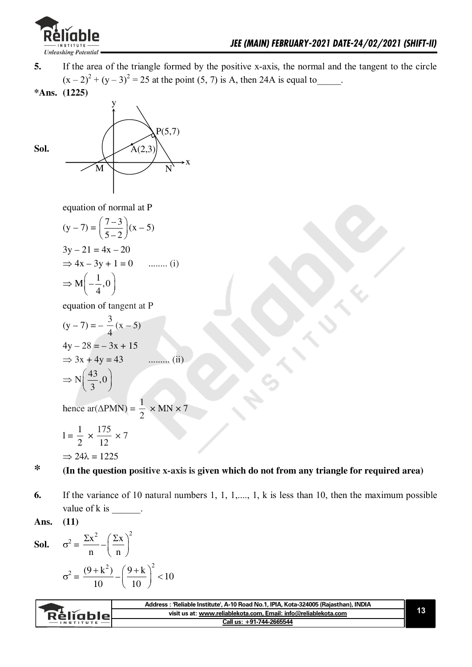

- **5.** If the area of the triangle formed by the positive x-axis, the normal and the tangent to the circle  $(x-2)^{2} + (y-3)^{2} = 25$  at the point (5, 7) is A, then 24A is equal to \_\_\_\_\_.
- **\*Ans. (1225)**



equation of normal at P

$$
(y-7) = \left(\frac{7-3}{5-2}\right)(x-5)
$$
  
\n
$$
3y - 21 = 4x - 20
$$
  
\n
$$
\Rightarrow 4x - 3y + 1 = 0
$$
 ....... (i)  
\n
$$
\Rightarrow M\left(-\frac{1}{4}, 0\right)
$$

equation of tangent at P

$$
(y-7) = -\frac{3}{4}(x-5)
$$
  
\n
$$
4y-28 = -3x + 15
$$
  
\n
$$
\Rightarrow 3x + 4y = 43
$$
 ......... (ii)  
\n
$$
\Rightarrow N\left(\frac{43}{3}, 0\right)
$$

hence ar( $\triangle PMN$ ) =  $\frac{1}{2}$  $\overline{\mathbf{c}}$  $\times$  MN  $\times$  7

 $<\!10$ 

$$
1 = \frac{1}{2} \times \frac{175}{12} \times 7
$$

$$
\Rightarrow 24\lambda = 1225
$$

#### **\* (In the question positive x-axis is given which do not from any triangle for required area)**

**6.** If the variance of 10 natural numbers 1, 1, 1,...., 1, k is less than 10, then the maximum possible value of  $k$  is  $\_\_\_\_\_\_\_\_\$ .

Ans. 
$$
(11)
$$

**Sol.** 
$$
\sigma^2 = \frac{\Sigma x^2}{n} - \left(\frac{\Sigma x}{n}\right)^2
$$

$$
\sigma^2 = \frac{(9 + k^2)}{10} - \left(\frac{9 + k}{10}\right)^2 <
$$

|                 | Address: 'Reliable Institute', A-10 Road No.1, IPIA, Kota-324005 (Rajasthan), INDIA |  |
|-----------------|-------------------------------------------------------------------------------------|--|
| <b>Religble</b> | visit us at: www.reliablekota.com, Email: info@reliablekota.com                     |  |
|                 | Call us: +91-744-2665544                                                            |  |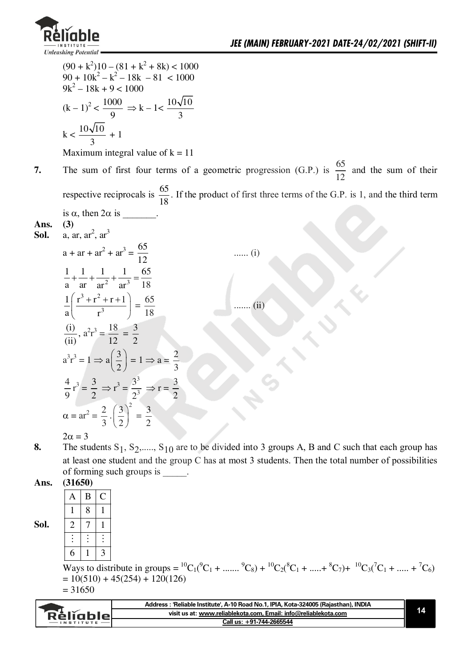

7.

 $(90 + k^2)10 - (81 + k^2 + 8k) < 1000$  $90 + 10k^2 - k^2 - 18k - 81 < 1000$  $9k^2 - 18k + 9 < 1000$  $(k-1)^2 < \frac{1000}{9} \Rightarrow k-1 < \frac{10\sqrt{10}}{3}$  $k < \frac{10\sqrt{10}}{2} + 1$ Maximum integral value of  $k = 11$ The sum of first four terms of a geometric progression (G.P.) is  $\frac{65}{12}$  and the sum of their respective reciprocals is  $\frac{65}{18}$ . If the product of first three terms of the G.P. is 1, and the third term is  $\alpha$ , then  $2\alpha$  is Ans.  $(3)$  $a.$  ar.  $ar^2$ ,  $ar^3$ Sol.  $a + ar + ar<sup>2</sup> + ar<sup>3</sup> = \frac{65}{12}$  $\ldots$  (i)  $\frac{1}{2} + \frac{1}{2} + \frac{1}{2} + \frac{1}{2} + \frac{1}{2} = \frac{65}{18}$  $\frac{1}{a} \left( \frac{r^3 + r^2 + r + 1}{r^3} \right) = \frac{65}{18}$ ....... $(ii)$ 

 $2\alpha = 3$ 

 $\frac{1}{11}$ ,  $a^2r^3 = \frac{18}{12} = \frac{3}{2}$ 

 $a^{3}r^{3} = 1 \implies a\left(\frac{3}{2}\right) = 1 \implies a = \frac{2}{3}$ 

 $\frac{4}{9}r^3 = \frac{3}{2} \Rightarrow r^3 = \frac{3^3}{2^3} \Rightarrow r = \frac{3}{2}$ 

 $\alpha = \text{ar}^2 = \frac{2}{3} \cdot \left(\frac{3}{2}\right)^2 = \frac{3}{2}$ 

The students  $S_1$ ,  $S_2$ ,....,  $S_{10}$  are to be divided into 3 groups A, B and C such that each group has 8. at least one student and the group C has at most 3 students. Then the total number of possibilities of forming such groups is

Ans.  $(31650)$ 

Sol.

| А | B |                         |
|---|---|-------------------------|
|   | 8 |                         |
| 2 |   |                         |
|   |   |                         |
| 6 |   | $\overline{\mathbf{z}}$ |

Ways to distribute in groups =  ${}^{10}C_1({}^9C_1 + ... + {}^9C_8) + {}^{10}C_2({}^8C_1 + ... + {}^8C_7) + {}^{10}C_3({}^7C_1 + ... + {}^7C_6)$  $= 10(510) + 45(254) + 120(126)$  $= 31650$ 

| Reliable | Address: 'Reliable Institute', A-10 Road No.1, IPIA, Kota-324005 (Rajasthan), INDIA |  |
|----------|-------------------------------------------------------------------------------------|--|
|          | visit us at: www.reliablekota.com. Email: info@reliablekota.com                     |  |
|          | Call us: +91-744-2665544                                                            |  |